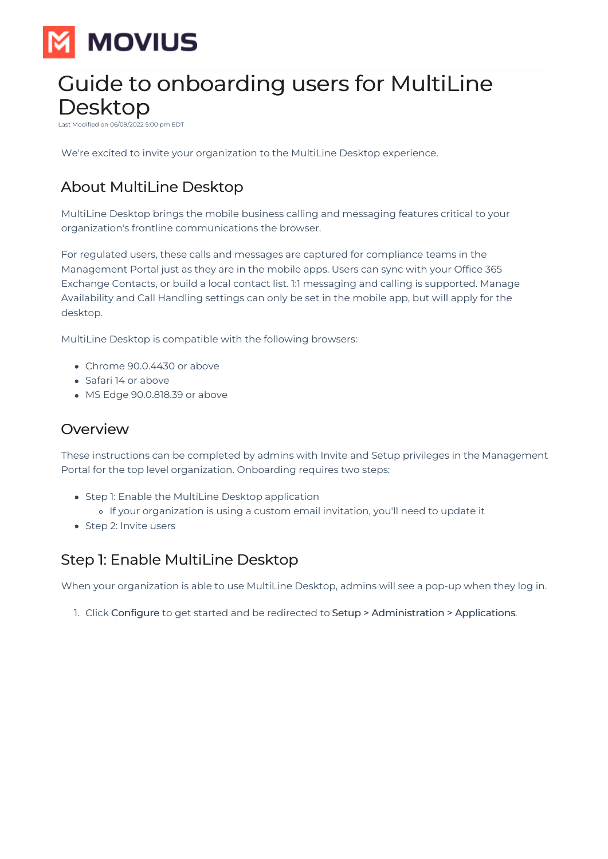

# Guide to onboarding users for MultiLine Desktop

06/09/2022 5:00 pm EDT

We're excited to invite your organization to the MultiLine Desktop experience.

# About MultiLine Desktop

MultiLine Desktop brings the mobile business calling and messaging features critical to your organization's frontline communications the browser.

For regulated users, these calls and messages are captured for compliance teams in the Management Portal just as they are in the mobile apps. Users can sync with your Office 365 Exchange Contacts, or build a local contact list. 1:1 messaging and calling is supported. Manage Availability and Call Handling settings can only be set in the mobile app, but will apply for the desktop.

MultiLine Desktop is compatible with the following browsers:

- Chrome 90.0.4430 or above
- Safari 14 or above
- MS Edge 90.0.818.39 or above

### **Overview**

These instructions can be completed by admins with Invite and Setup privileges in the Management Portal for the top level organization. Onboarding requires two steps:

- Step 1: Enable the MultiLine Desktop application
	- If your organization is using a custom email invitation, you'll need to update it
- Step 2: Invite users

## Step 1: Enable MultiLine Desktop

When your organization is able to use MultiLine Desktop, admins will see a pop-up when they log in.

1. Click Configure to get started and be redirected to Setup > Administration > Applications.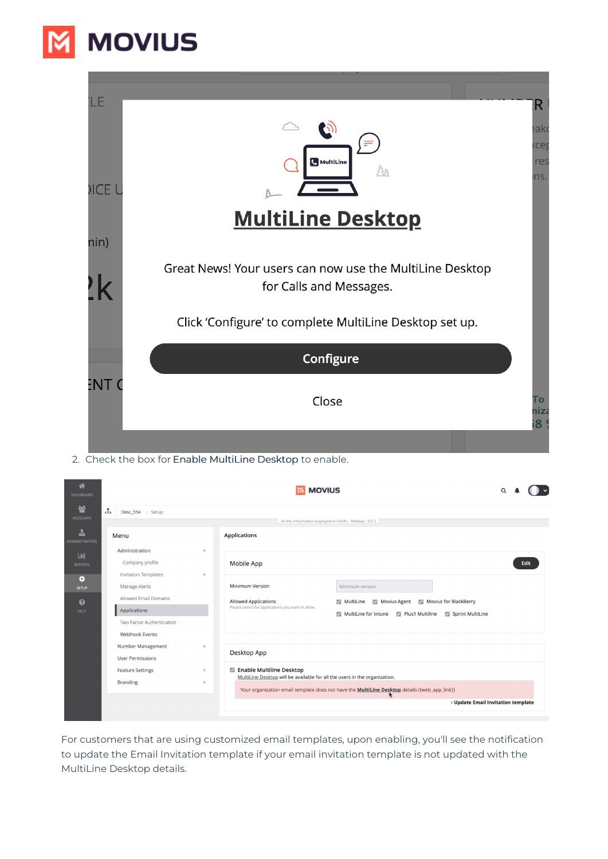

| ΊLΕ         | Ð                                                                                   | $R_{\parallel}$<br>eako<br>kcep |
|-------------|-------------------------------------------------------------------------------------|---------------------------------|
| <b>ICEL</b> | <b>G</b> MultiLine                                                                  | res<br>ns.                      |
| nin)        | <b>MultiLine Desktop</b>                                                            |                                 |
|             | Great News! Your users can now use the MultiLine Desktop<br>for Calls and Messages. |                                 |
|             | Click 'Configure' to complete MultiLine Desktop set up.                             |                                 |
|             | Configure                                                                           |                                 |
| ENT (       | Close                                                                               | To<br>niza<br>8 <sup>°</sup>    |
|             |                                                                                     |                                 |

2. Check the box for Enable MultiLine Desktop to enable.

| 合<br><b>DASHBOARD</b>                                                     | <b>MOVIUS</b>                                                                                                                        |                                             |                                                                                                                                                                                                                                                            |      |  |  |  |  |
|---------------------------------------------------------------------------|--------------------------------------------------------------------------------------------------------------------------------------|---------------------------------------------|------------------------------------------------------------------------------------------------------------------------------------------------------------------------------------------------------------------------------------------------------------|------|--|--|--|--|
| 譽<br><b>ACCOUNTS</b><br>┻<br><b>ADMINISTRATORS</b><br> <br><b>REPORTS</b> | $\mathbf{r}$<br>Desc_554 > Setup<br>Menu<br>Administration<br>Company profile                                                        | $\mathbb{R}$                                | All the information displayed in Pacific - Midway (SST)<br><b>Applications</b><br>Mobile App                                                                                                                                                               | Edit |  |  |  |  |
| ۰<br><b>SETUP</b><br>ຨ<br>HELP                                            | Invitation Templates<br>Manage Alerts<br>Allowed Email Domains<br>Applications<br>Two Factor Authentication<br><b>Webhook Events</b> | b.                                          | Minimum Version<br>Minimum version<br><b>Allowed Applications</b><br>Movius for BlackBerry<br>$\blacksquare$ MultiLine<br>Movius Agent<br>Please select the applications you want to allow.<br>MultiLine for Intune<br>Plus1 Multiline<br>Sprint MultiLine |      |  |  |  |  |
|                                                                           | Number Management<br><b>User Permissions</b><br><b>Feature Settings</b><br><b>Branding</b>                                           | $\mathbf{b}$<br>$\mathbf b$<br>$\mathbb{R}$ | Desktop App<br>Enable Multiline Desktop<br>MultiLine Desktop will be available for all the users in the organization.<br>Your organization email template does not have the <b>MultiLine Desktop</b> details ((web_app_link))                              |      |  |  |  |  |
|                                                                           |                                                                                                                                      |                                             | > Update Email Invitation template                                                                                                                                                                                                                         |      |  |  |  |  |

For customers that are using customized email templates, upon enabling, you'll see the notification to update the Email Invitation template if your email invitation template is not updated with the MultiLine Desktop details.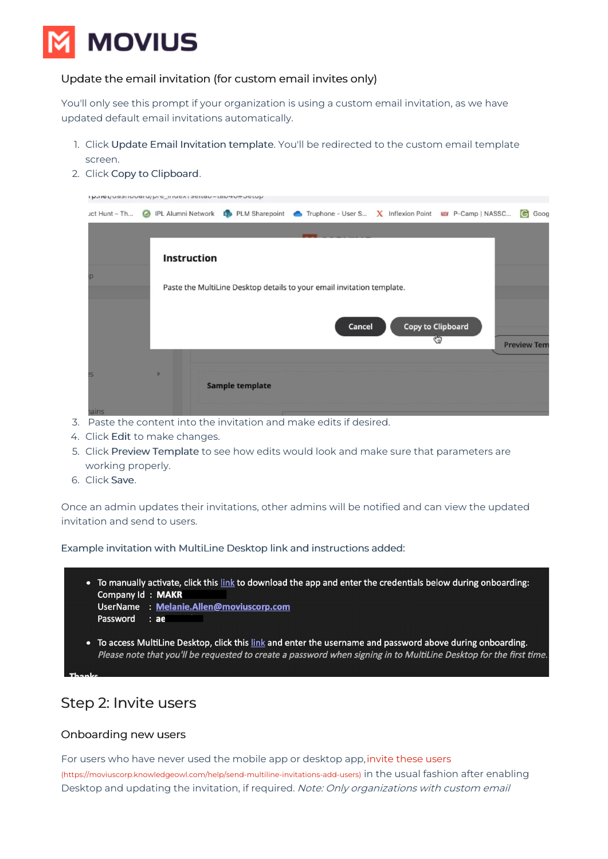

#### Update the email invitation (for custom email invites only)

You'll only see this prompt if your organization is using a custom email invitation, as we have updated default email invitations automatically.

- 1. Click Update Email Invitation template. You'll be redirected to the custom email template screen.
- 2. Click Copy to Clipboard.

| INTION NOSTINUOI U/ NIC_IIINGA: SGIIGN-IGN4UTUCIUN |             |                    |                                                                                       |        |  |                                |                    |
|----------------------------------------------------|-------------|--------------------|---------------------------------------------------------------------------------------|--------|--|--------------------------------|--------------------|
| uct Hunt - Th                                      | $\odot$     | IPL Alumni Network | PLM Sharepoint $\bullet$ Truphone - User S $\chi$ Inflexion Point www. P-Camp   NASSC |        |  |                                | G Goog             |
|                                                    |             |                    |                                                                                       |        |  |                                |                    |
|                                                    | Instruction |                    |                                                                                       |        |  |                                |                    |
|                                                    |             |                    |                                                                                       |        |  |                                |                    |
|                                                    |             |                    | Paste the MultiLine Desktop details to your email invitation template.                |        |  |                                |                    |
|                                                    |             |                    |                                                                                       |        |  |                                |                    |
|                                                    |             |                    |                                                                                       | Cancel |  | <b>Copy to Clipboard</b><br>ৎত |                    |
|                                                    |             |                    |                                                                                       |        |  |                                | <b>Preview Tem</b> |
|                                                    |             |                    |                                                                                       |        |  |                                |                    |
|                                                    |             |                    | <b>Sample template</b>                                                                |        |  |                                |                    |
| ains                                               |             |                    |                                                                                       |        |  |                                |                    |

- 3. Paste the content into the invitation and make edits if desired.
- 4. Click Edit to make changes.
- 5. Click Preview Template to see how edits would look and make sure that parameters are working properly.
- 6. Click Save.

Once an admin updates their invitations, other admins will be notified and can view the updated invitation and send to users.

Example invitation with MultiLine Desktop link and instructions added:

- To manually activate, click this link to download the app and enter the credentials below during onboarding: **Company Id: MAKR** UserName : Melanie.Allen@moviuscorp.com
	- Password : ae
- To access MultiLine Desktop, click this link and enter the username and password above during onboarding. Please note that you'll be requested to create a password when signing in to MultiLine Desktop for the first time.

## Step 2: Invite users

#### Onboarding new users

For users who have never used the mobile app or desktop app,[invite](http://moviuscorp.knowledgeowl.com/help/send-multiline-invitations-add-users) these users [\(https://moviuscorp.knowledgeowl.com/help/send-multiline-invitations-add-users\)](https://moviuscorp.knowledgeowl.com/help/send-multiline-invitations-add-users) in the usual fashion after enabling Desktop and updating the invitation, if required. Note: Only organizations with custom email